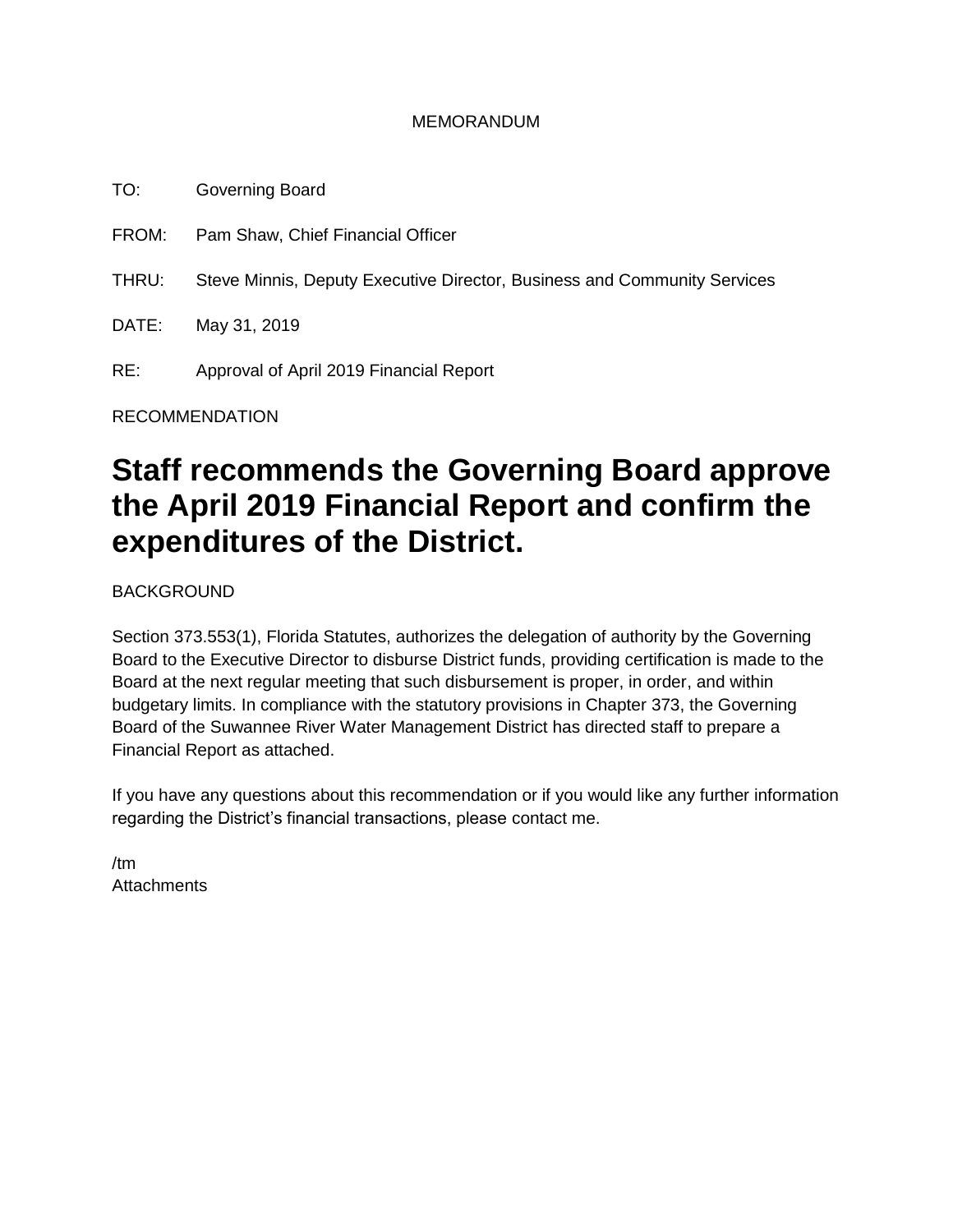#### MEMORANDUM

TO: Governing Board FROM: Pam Shaw, Chief Financial Officer THRU: Steve Minnis, Deputy Executive Director, Business and Community Services DATE: May 31, 2019 RE: Approval of April 2019 Financial Report

RECOMMENDATION

# **Staff recommends the Governing Board approve the April 2019 Financial Report and confirm the expenditures of the District.**

BACKGROUND

Section 373.553(1), Florida Statutes, authorizes the delegation of authority by the Governing Board to the Executive Director to disburse District funds, providing certification is made to the Board at the next regular meeting that such disbursement is proper, in order, and within budgetary limits. In compliance with the statutory provisions in Chapter 373, the Governing Board of the Suwannee River Water Management District has directed staff to prepare a Financial Report as attached.

If you have any questions about this recommendation or if you would like any further information regarding the District's financial transactions, please contact me.

/tm **Attachments**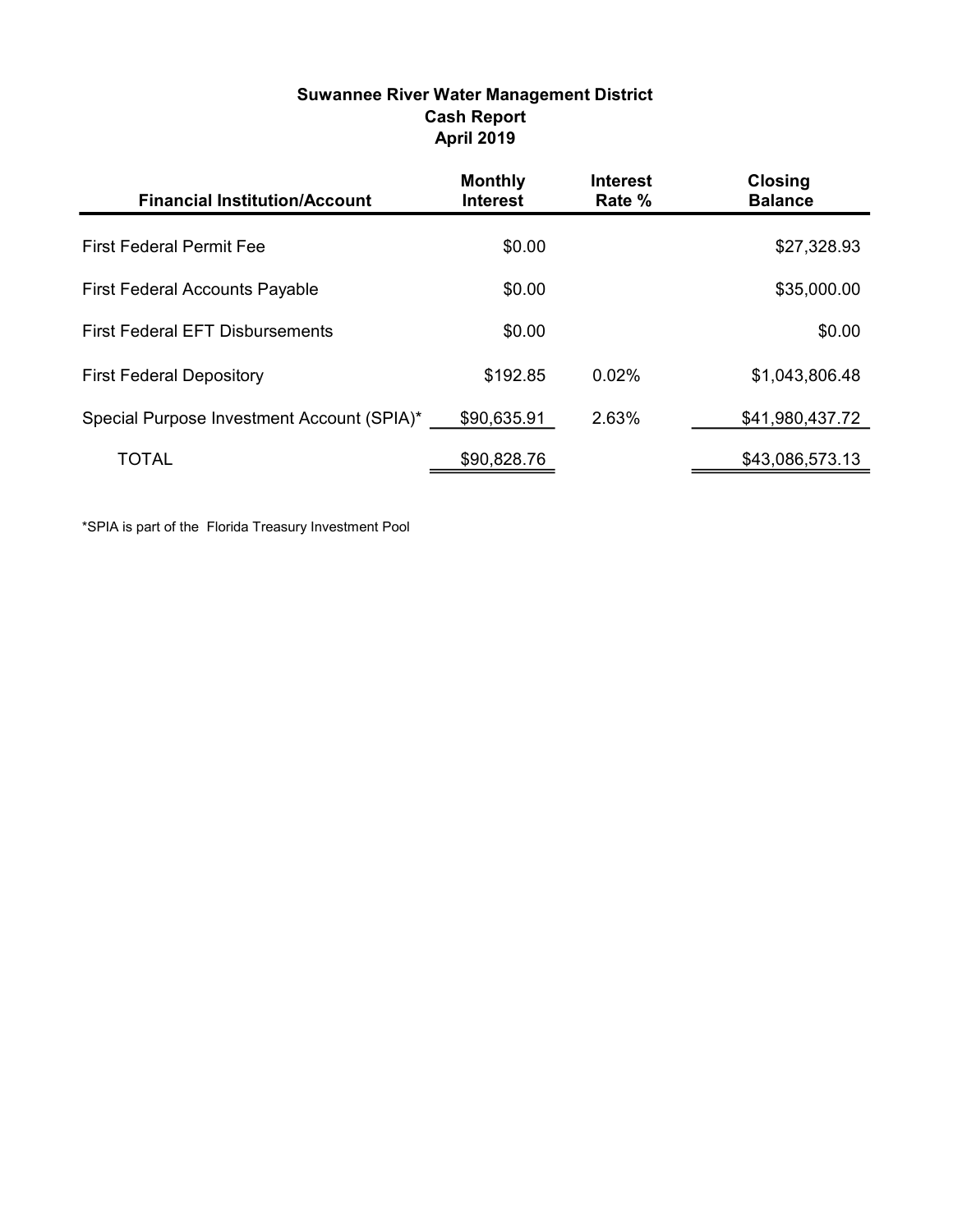| <b>Suwannee River Water Management District</b> |
|-------------------------------------------------|
| <b>Cash Report</b>                              |
| <b>April 2019</b>                               |

| <b>Financial Institution/Account</b>       | <b>Monthly</b><br><b>Interest</b> | <b>Interest</b><br>Rate % | <b>Closing</b><br><b>Balance</b> |
|--------------------------------------------|-----------------------------------|---------------------------|----------------------------------|
| <b>First Federal Permit Fee</b>            | \$0.00                            |                           | \$27,328.93                      |
| <b>First Federal Accounts Payable</b>      | \$0.00                            |                           | \$35,000.00                      |
| <b>First Federal EFT Disbursements</b>     | \$0.00                            |                           | \$0.00                           |
| <b>First Federal Depository</b>            | \$192.85                          | 0.02%                     | \$1,043,806.48                   |
| Special Purpose Investment Account (SPIA)* | \$90,635.91                       | 2.63%                     | \$41,980,437.72                  |
| TOTAL                                      | \$90,828.76                       |                           | \$43,086,573.13                  |

\*SPIA is part of the Florida Treasury Investment Pool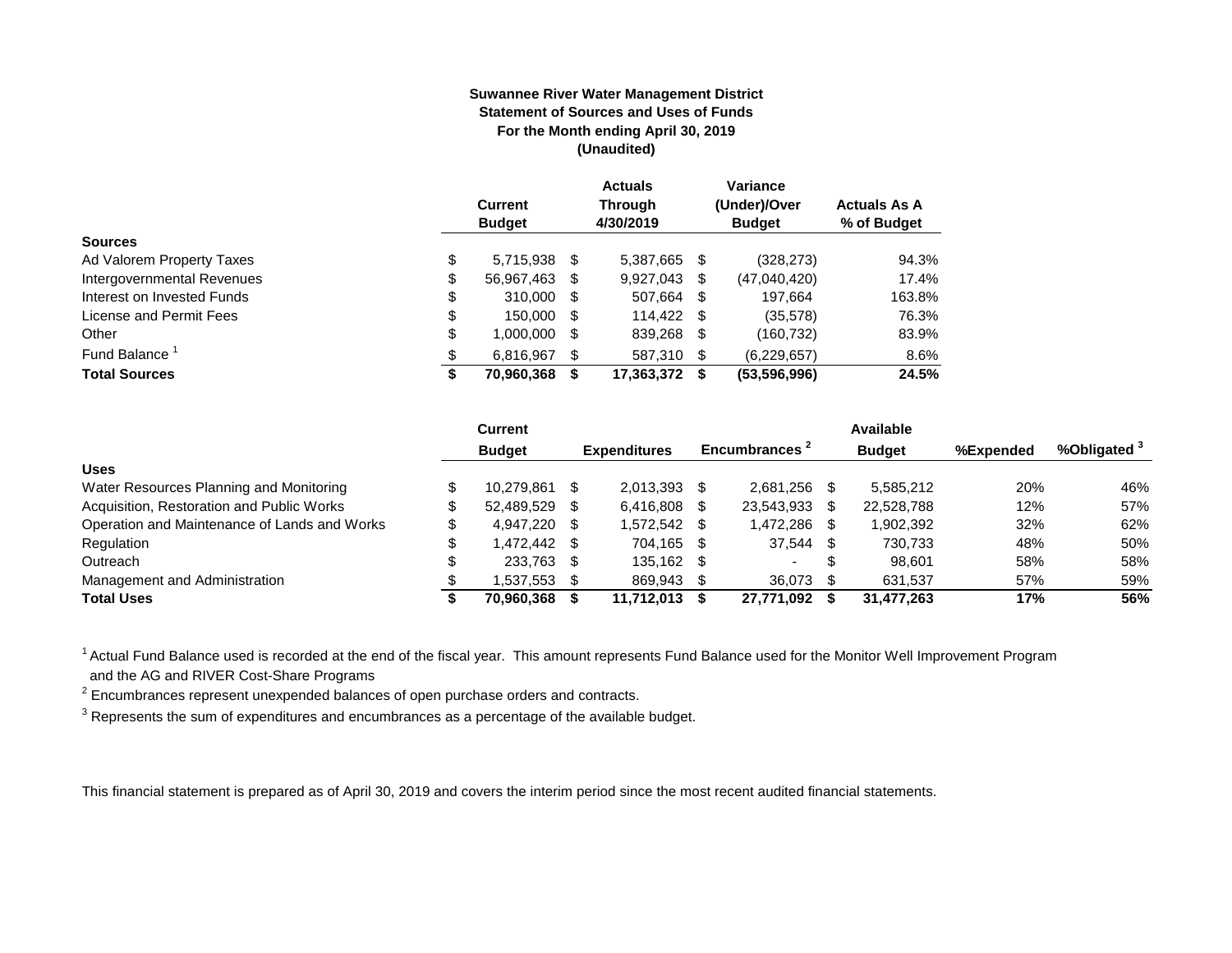#### **Suwannee River Water Management District Statement of Sources and Uses of Funds For the Month ending April 30, 2019 (Unaudited)**

|                            | <b>Current</b><br><b>Budget</b> |    | <b>Actuals</b><br><b>Through</b><br>4/30/2019 |    | Variance<br>(Under)/Over<br><b>Budget</b> | <b>Actuals As A</b><br>% of Budget |
|----------------------------|---------------------------------|----|-----------------------------------------------|----|-------------------------------------------|------------------------------------|
| <b>Sources</b>             |                                 |    |                                               |    |                                           |                                    |
| Ad Valorem Property Taxes  | \$<br>5,715,938 \$              |    | 5,387,665                                     | S  | (328, 273)                                | 94.3%                              |
| Intergovernmental Revenues | \$<br>56,967,463 \$             |    | 9,927,043                                     | S  | (47,040,420)                              | 17.4%                              |
| Interest on Invested Funds | \$<br>310,000 \$                |    | 507,664 \$                                    |    | 197.664                                   | 163.8%                             |
| License and Permit Fees    | \$<br>150,000 \$                |    | 114.422 \$                                    |    | (35,578)                                  | 76.3%                              |
| Other                      | \$<br>1,000,000                 | S. | 839,268                                       | S. | (160, 732)                                | 83.9%                              |
| Fund Balance               | \$<br>6.816.967                 |    | 587.310                                       | \$ | (6,229,657)                               | 8.6%                               |
| <b>Total Sources</b>       | \$<br>70,960,368                |    | 17,363,372                                    | S. | (53,596,996)                              | 24.5%                              |

|                                              | <b>Current</b> |      |                     |      |                           |     | Available     |           |            |
|----------------------------------------------|----------------|------|---------------------|------|---------------------------|-----|---------------|-----------|------------|
|                                              | <b>Budget</b>  |      | <b>Expenditures</b> |      | Encumbrances <sup>2</sup> |     | <b>Budget</b> | %Expended | %Obligated |
| <b>Uses</b>                                  |                |      |                     |      |                           |     |               |           |            |
| Water Resources Planning and Monitoring      | 10.279.861     |      | 2.013.393           |      | 2.681.256                 |     | 5.585.212     | 20%       | 46%        |
| Acquisition, Restoration and Public Works    | 52.489.529     | - \$ | 6,416,808           |      | 23,543,933                | S   | 22,528,788    | 12%       | 57%        |
| Operation and Maintenance of Lands and Works | 4.947.220 \$   |      | 1,572,542           | -S   | 1,472,286                 |     | 902,392.      | 32%       | 62%        |
| Regulation                                   | \$ 472.442.    |      | 704.165             | -S   | 37,544                    | \$. | 730.733       | 48%       | 50%        |
| Outreach                                     | 233.763        | - \$ | 135.162             | - \$ | $\overline{\phantom{0}}$  | S   | 98.601        | 58%       | 58%        |
| Management and Administration                | .537,553       |      | 869,943             |      | 36.073                    |     | 631,537       | 57%       | 59%        |
| <b>Total Uses</b>                            | 70.960.368     |      | 11,712,013          |      | 27.771.092                |     | 31,477,263    | 17%       | 56%        |

<sup>1</sup> Actual Fund Balance used is recorded at the end of the fiscal year. This amount represents Fund Balance used for the Monitor Well Improvement Program and the AG and RIVER Cost-Share Programs

 $2$  Encumbrances represent unexpended balances of open purchase orders and contracts.

 $3$  Represents the sum of expenditures and encumbrances as a percentage of the available budget.

This financial statement is prepared as of April 30, 2019 and covers the interim period since the most recent audited financial statements.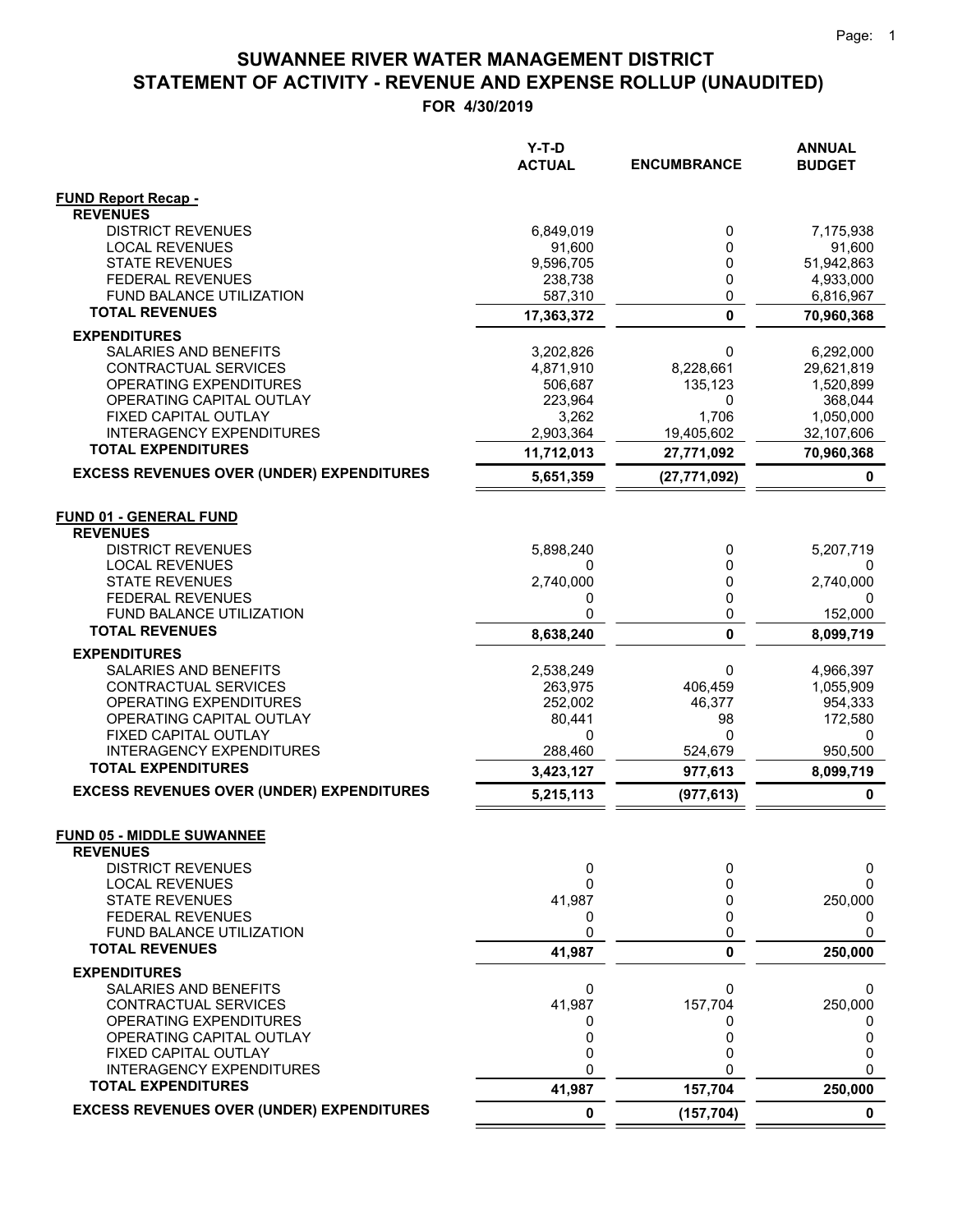|                                                              | $Y-T-D$<br><b>ACTUAL</b> | <b>ENCUMBRANCE</b> | <b>ANNUAL</b><br><b>BUDGET</b> |
|--------------------------------------------------------------|--------------------------|--------------------|--------------------------------|
| <b>FUND Report Recap -</b><br><b>REVENUES</b>                |                          |                    |                                |
| <b>DISTRICT REVENUES</b>                                     | 6,849,019                | 0                  | 7,175,938                      |
| <b>LOCAL REVENUES</b>                                        | 91,600                   | 0                  | 91,600                         |
| <b>STATE REVENUES</b>                                        | 9,596,705                | 0                  | 51,942,863                     |
| <b>FEDERAL REVENUES</b>                                      | 238,738                  | 0                  | 4,933,000                      |
| <b>FUND BALANCE UTILIZATION</b><br><b>TOTAL REVENUES</b>     | 587,310                  | 0<br>$\mathbf 0$   | 6,816,967                      |
| <b>EXPENDITURES</b>                                          | 17,363,372               |                    | 70,960,368                     |
| SALARIES AND BENEFITS                                        | 3,202,826                | 0                  | 6,292,000                      |
| CONTRACTUAL SERVICES                                         | 4,871,910                | 8,228,661          | 29,621,819                     |
| <b>OPERATING EXPENDITURES</b>                                | 506,687                  | 135,123            | 1,520,899                      |
| OPERATING CAPITAL OUTLAY                                     | 223,964                  | 0                  | 368,044                        |
| FIXED CAPITAL OUTLAY                                         | 3,262                    | 1,706              | 1,050,000                      |
| <b>INTERAGENCY EXPENDITURES</b><br><b>TOTAL EXPENDITURES</b> | 2,903,364                | 19,405,602         | 32,107,606                     |
|                                                              | 11,712,013               | 27,771,092         | 70,960,368                     |
| <b>EXCESS REVENUES OVER (UNDER) EXPENDITURES</b>             | 5,651,359                | (27, 771, 092)     | 0                              |
| <b>FUND 01 - GENERAL FUND</b>                                |                          |                    |                                |
| <b>REVENUES</b>                                              |                          |                    |                                |
| <b>DISTRICT REVENUES</b>                                     | 5,898,240                | 0                  | 5,207,719                      |
| <b>LOCAL REVENUES</b><br><b>STATE REVENUES</b>               | 0<br>2,740,000           | 0<br>0             | 0<br>2,740,000                 |
| <b>FEDERAL REVENUES</b>                                      | 0                        | 0                  | 0                              |
| FUND BALANCE UTILIZATION                                     | 0                        | 0                  | 152,000                        |
| <b>TOTAL REVENUES</b>                                        | 8,638,240                | 0                  | 8,099,719                      |
| <b>EXPENDITURES</b>                                          |                          |                    |                                |
| SALARIES AND BENEFITS                                        | 2,538,249                | 0                  | 4,966,397                      |
| CONTRACTUAL SERVICES                                         | 263,975                  | 406,459            | 1,055,909                      |
| OPERATING EXPENDITURES<br>OPERATING CAPITAL OUTLAY           | 252,002<br>80,441        | 46,377<br>98       | 954,333<br>172,580             |
| FIXED CAPITAL OUTLAY                                         | 0                        | 0                  | 0                              |
| <b>INTERAGENCY EXPENDITURES</b>                              | 288,460                  | 524,679            | 950,500                        |
| <b>TOTAL EXPENDITURES</b>                                    | 3,423,127                | 977,613            | 8,099,719                      |
| <b>EXCESS REVENUES OVER (UNDER) EXPENDITURES</b>             | 5,215,113                | (977, 613)         | 0                              |
| <b>FUND 05 - MIDDLE SUWANNEE</b>                             |                          |                    |                                |
| <b>REVENUES</b>                                              |                          |                    |                                |
| <b>DISTRICT REVENUES</b><br><b>LOCAL REVENUES</b>            | 0<br>0                   | 0<br>0             | 0<br>0                         |
| <b>STATE REVENUES</b>                                        | 41,987                   | 0                  | 250,000                        |
| <b>FEDERAL REVENUES</b>                                      | 0                        | 0                  | 0                              |
| FUND BALANCE UTILIZATION                                     | 0                        | 0                  | 0                              |
| <b>TOTAL REVENUES</b>                                        | 41,987                   | 0                  | 250,000                        |
| <b>EXPENDITURES</b>                                          |                          |                    |                                |
| SALARIES AND BENEFITS                                        | 0                        | 0                  | 0                              |
| CONTRACTUAL SERVICES                                         | 41,987                   | 157,704            | 250,000                        |
| OPERATING EXPENDITURES<br>OPERATING CAPITAL OUTLAY           | 0<br>0                   | 0<br>0             | O<br>0                         |
| FIXED CAPITAL OUTLAY                                         | 0                        | 0                  | 0                              |
| <b>INTERAGENCY EXPENDITURES</b>                              | 0                        |                    | 0                              |
| <b>TOTAL EXPENDITURES</b>                                    | 41,987                   | 157,704            | 250,000                        |
| <b>EXCESS REVENUES OVER (UNDER) EXPENDITURES</b>             | 0                        | (157, 704)         | 0                              |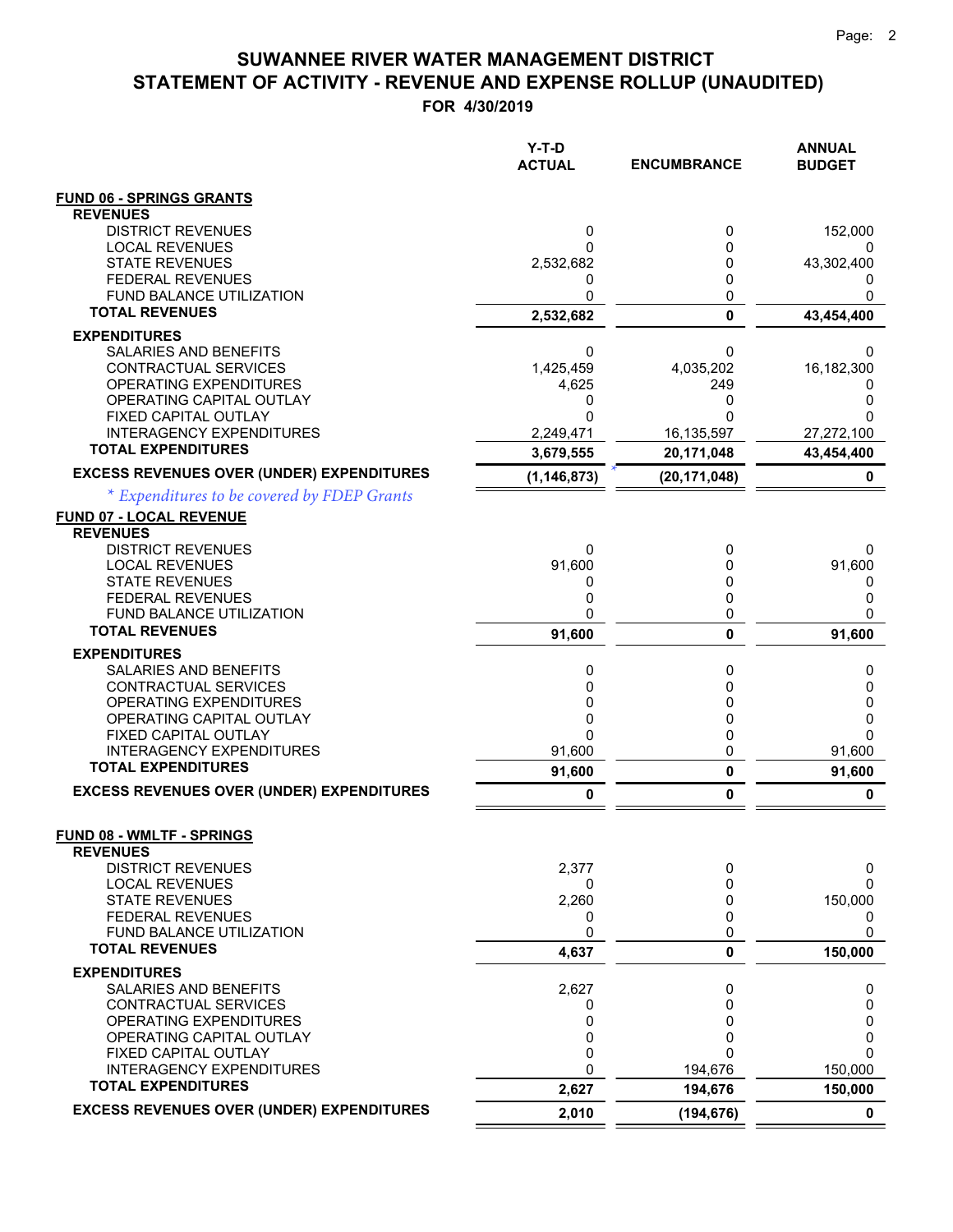|                                                  | Y-T-D<br><b>ACTUAL</b> | <b>ENCUMBRANCE</b> | <b>ANNUAL</b><br><b>BUDGET</b> |
|--------------------------------------------------|------------------------|--------------------|--------------------------------|
| <b>FUND 06 - SPRINGS GRANTS</b>                  |                        |                    |                                |
| <b>REVENUES</b>                                  |                        |                    |                                |
| <b>DISTRICT REVENUES</b>                         | 0                      | 0                  | 152,000                        |
| <b>LOCAL REVENUES</b><br><b>STATE REVENUES</b>   | 0                      | 0                  | 0                              |
| <b>FEDERAL REVENUES</b>                          | 2,532,682<br>0         | 0<br>0             | 43,302,400                     |
| FUND BALANCE UTILIZATION                         | 0                      | 0                  |                                |
| <b>TOTAL REVENUES</b>                            | 2,532,682              | $\mathbf 0$        | 43,454,400                     |
| <b>EXPENDITURES</b>                              |                        |                    |                                |
| SALARIES AND BENEFITS                            | 0                      | 0                  | 0                              |
| CONTRACTUAL SERVICES                             | 1,425,459              | 4,035,202          | 16,182,300                     |
| OPERATING EXPENDITURES                           | 4,625                  | 249                | 0                              |
| OPERATING CAPITAL OUTLAY<br>FIXED CAPITAL OUTLAY | 0<br>0                 | 0<br>O             | 0<br>O                         |
| <b>INTERAGENCY EXPENDITURES</b>                  | 2,249,471              | 16,135,597         | 27,272,100                     |
| <b>TOTAL EXPENDITURES</b>                        | 3,679,555              | 20,171,048         | 43,454,400                     |
| <b>EXCESS REVENUES OVER (UNDER) EXPENDITURES</b> | (1, 146, 873)          | (20, 171, 048)     | 0                              |
| * Expenditures to be covered by FDEP Grants      |                        |                    |                                |
| <b>FUND 07 - LOCAL REVENUE</b>                   |                        |                    |                                |
| <b>REVENUES</b><br><b>DISTRICT REVENUES</b>      |                        |                    |                                |
| <b>LOCAL REVENUES</b>                            | 0<br>91,600            | 0<br>0             | 0<br>91,600                    |
| <b>STATE REVENUES</b>                            | 0                      | 0                  | 0                              |
| <b>FEDERAL REVENUES</b>                          | 0                      | 0                  | 0                              |
| <b>FUND BALANCE UTILIZATION</b>                  | 0                      | 0                  | 0                              |
| <b>TOTAL REVENUES</b>                            | 91,600                 | $\mathbf{0}$       | 91,600                         |
| <b>EXPENDITURES</b>                              |                        |                    |                                |
| SALARIES AND BENEFITS                            | 0                      | 0                  | 0                              |
| CONTRACTUAL SERVICES<br>OPERATING EXPENDITURES   | 0<br>0                 | 0<br>0             | 0<br>0                         |
| OPERATING CAPITAL OUTLAY                         | 0                      | 0                  | 0                              |
| FIXED CAPITAL OUTLAY                             | 0                      | 0                  | 0                              |
| <b>INTERAGENCY EXPENDITURES</b>                  | 91,600                 | 0                  | 91,600                         |
| <b>TOTAL EXPENDITURES</b>                        | 91,600                 | 0                  | 91,600                         |
| <b>EXCESS REVENUES OVER (UNDER) EXPENDITURES</b> | 0                      | 0                  | 0                              |
| <b>FUND 08 - WMLTF - SPRINGS</b>                 |                        |                    |                                |
| <b>REVENUES</b>                                  |                        |                    |                                |
| <b>DISTRICT REVENUES</b>                         | 2,377                  | 0                  | 0                              |
| <b>LOCAL REVENUES</b>                            | 0                      | 0                  | 0                              |
| <b>STATE REVENUES</b><br>FEDERAL REVENUES        | 2,260                  | 0<br>0             | 150,000                        |
| FUND BALANCE UTILIZATION                         | 0<br>0                 | 0                  | 0<br>0                         |
| <b>TOTAL REVENUES</b>                            | 4,637                  | 0                  | 150,000                        |
| <b>EXPENDITURES</b>                              |                        |                    |                                |
| SALARIES AND BENEFITS                            | 2,627                  | 0                  | 0                              |
| CONTRACTUAL SERVICES                             | 0                      | 0                  | 0                              |
| OPERATING EXPENDITURES                           | 0                      | 0                  | 0                              |
| OPERATING CAPITAL OUTLAY<br>FIXED CAPITAL OUTLAY | 0<br>0                 | 0<br>$\Omega$      | 0<br>0                         |
| <b>INTERAGENCY EXPENDITURES</b>                  | 0                      | 194,676            | 150,000                        |
| <b>TOTAL EXPENDITURES</b>                        | 2,627                  | 194,676            | 150,000                        |
| <b>EXCESS REVENUES OVER (UNDER) EXPENDITURES</b> | 2,010                  | (194, 676)         | $\mathbf 0$                    |
|                                                  |                        |                    |                                |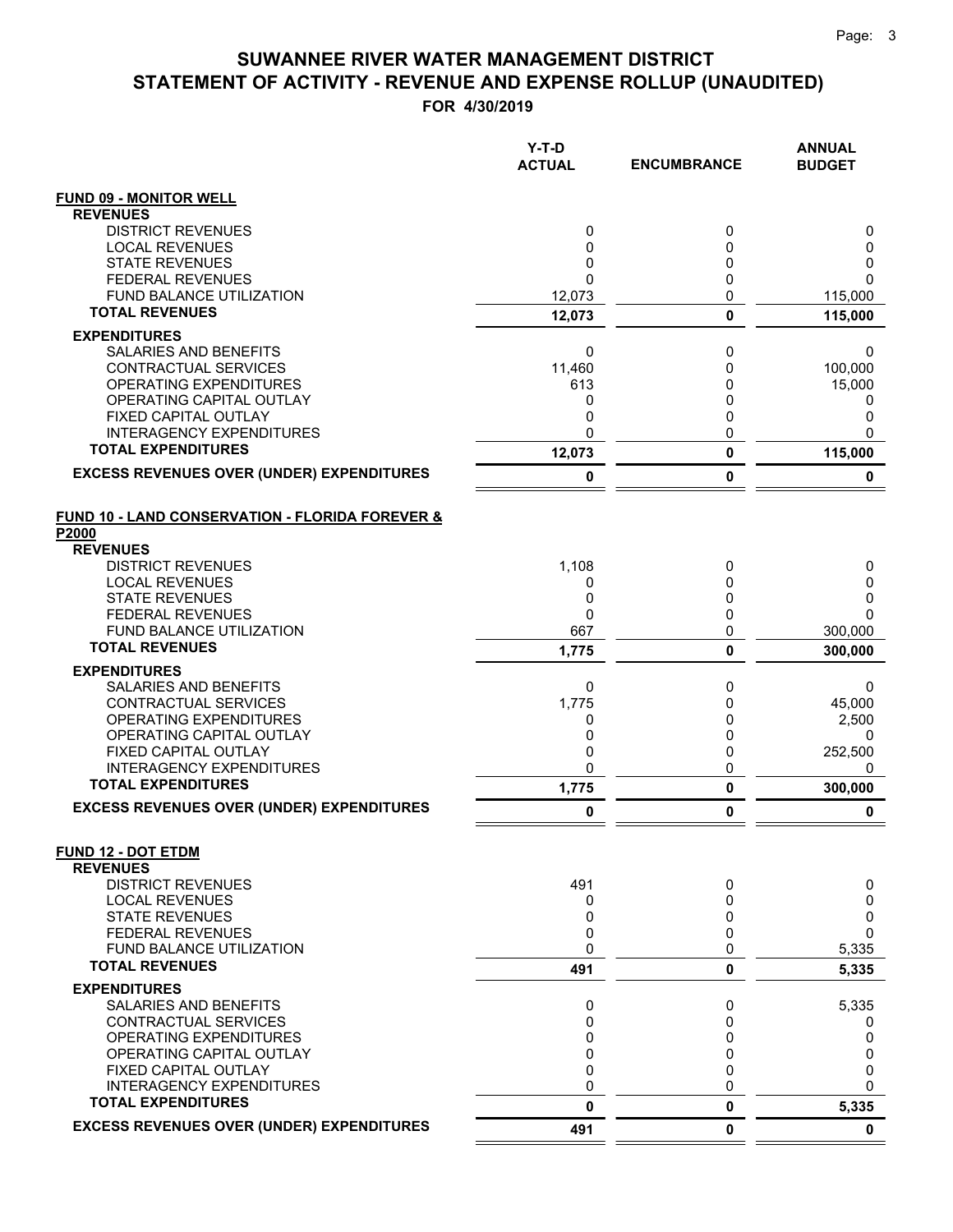|                                                           | Y-T-D<br><b>ACTUAL</b> | <b>ENCUMBRANCE</b> | <b>ANNUAL</b><br><b>BUDGET</b> |
|-----------------------------------------------------------|------------------------|--------------------|--------------------------------|
| <b>FUND 09 - MONITOR WELL</b>                             |                        |                    |                                |
| <b>REVENUES</b>                                           |                        |                    |                                |
| <b>DISTRICT REVENUES</b>                                  | 0                      | 0                  | 0                              |
| <b>LOCAL REVENUES</b><br><b>STATE REVENUES</b>            | 0<br>0                 | 0<br>0             | 0<br>0                         |
| <b>FEDERAL REVENUES</b>                                   | $\Omega$               | $\mathbf 0$        | 0                              |
| FUND BALANCE UTILIZATION                                  | 12,073                 | 0                  | 115,000                        |
| <b>TOTAL REVENUES</b>                                     | 12,073                 | $\mathbf 0$        | 115,000                        |
| <b>EXPENDITURES</b>                                       |                        |                    |                                |
| <b>SALARIES AND BENEFITS</b>                              | 0                      | 0                  | 0                              |
| CONTRACTUAL SERVICES                                      | 11,460                 | 0                  | 100,000                        |
| <b>OPERATING EXPENDITURES</b>                             | 613                    | 0                  | 15,000                         |
| OPERATING CAPITAL OUTLAY<br>FIXED CAPITAL OUTLAY          | 0<br>0                 | 0<br>0             | 0<br>0                         |
| INTERAGENCY EXPENDITURES                                  | 0                      | $\mathbf 0$        | 0                              |
| <b>TOTAL EXPENDITURES</b>                                 | 12,073                 | $\pmb{0}$          | 115,000                        |
| <b>EXCESS REVENUES OVER (UNDER) EXPENDITURES</b>          | 0                      | 0                  | 0                              |
| FUND 10 - LAND CONSERVATION - FLORIDA FOREVER &           |                        |                    |                                |
| P2000                                                     |                        |                    |                                |
| <b>REVENUES</b>                                           |                        |                    |                                |
| <b>DISTRICT REVENUES</b>                                  | 1,108                  | 0                  | 0                              |
| <b>LOCAL REVENUES</b><br><b>STATE REVENUES</b>            | 0<br>0                 | 0<br>0             | 0<br>0                         |
| <b>FEDERAL REVENUES</b>                                   | 0                      | 0                  | $\Omega$                       |
| FUND BALANCE UTILIZATION                                  | 667                    | 0                  | 300,000                        |
| <b>TOTAL REVENUES</b>                                     | 1,775                  | 0                  | 300,000                        |
| <b>EXPENDITURES</b>                                       |                        |                    |                                |
| SALARIES AND BENEFITS                                     | 0                      | 0                  | 0                              |
| CONTRACTUAL SERVICES                                      | 1,775                  | 0                  | 45,000                         |
| <b>OPERATING EXPENDITURES</b><br>OPERATING CAPITAL OUTLAY | 0<br>0                 | 0<br>0             | 2,500<br>0                     |
| FIXED CAPITAL OUTLAY                                      | 0                      | 0                  | 252,500                        |
| <b>INTERAGENCY EXPENDITURES</b>                           | 0                      | 0                  | 0                              |
| <b>TOTAL EXPENDITURES</b>                                 | 1,775                  | $\pmb{0}$          | 300,000                        |
| <b>EXCESS REVENUES OVER (UNDER) EXPENDITURES</b>          | 0                      | 0                  | 0                              |
| <b>FUND 12 - DOT ETDM</b>                                 |                        |                    |                                |
| <b>REVENUES</b><br><b>DISTRICT REVENUES</b>               | 491                    | 0                  | 0                              |
| <b>LOCAL REVENUES</b>                                     | 0                      | 0                  | 0                              |
| <b>STATE REVENUES</b>                                     | 0                      | 0                  | 0                              |
| <b>FEDERAL REVENUES</b>                                   | 0                      | 0                  | 0                              |
| <b>FUND BALANCE UTILIZATION</b><br><b>TOTAL REVENUES</b>  | 0                      | 0                  | 5,335                          |
|                                                           | 491                    | 0                  | 5,335                          |
| <b>EXPENDITURES</b>                                       |                        |                    |                                |
| SALARIES AND BENEFITS<br>CONTRACTUAL SERVICES             | 0<br>0                 | 0<br>0             | 5,335<br>0                     |
| OPERATING EXPENDITURES                                    | 0                      | 0                  | 0                              |
| OPERATING CAPITAL OUTLAY                                  | 0                      | 0                  | 0                              |
| FIXED CAPITAL OUTLAY                                      | 0                      | 0                  | 0                              |
| INTERAGENCY EXPENDITURES                                  | 0                      | 0                  | 0                              |
| <b>TOTAL EXPENDITURES</b>                                 | 0                      | 0                  | 5,335                          |
| <b>EXCESS REVENUES OVER (UNDER) EXPENDITURES</b>          | 491                    | 0                  | $\mathbf 0$                    |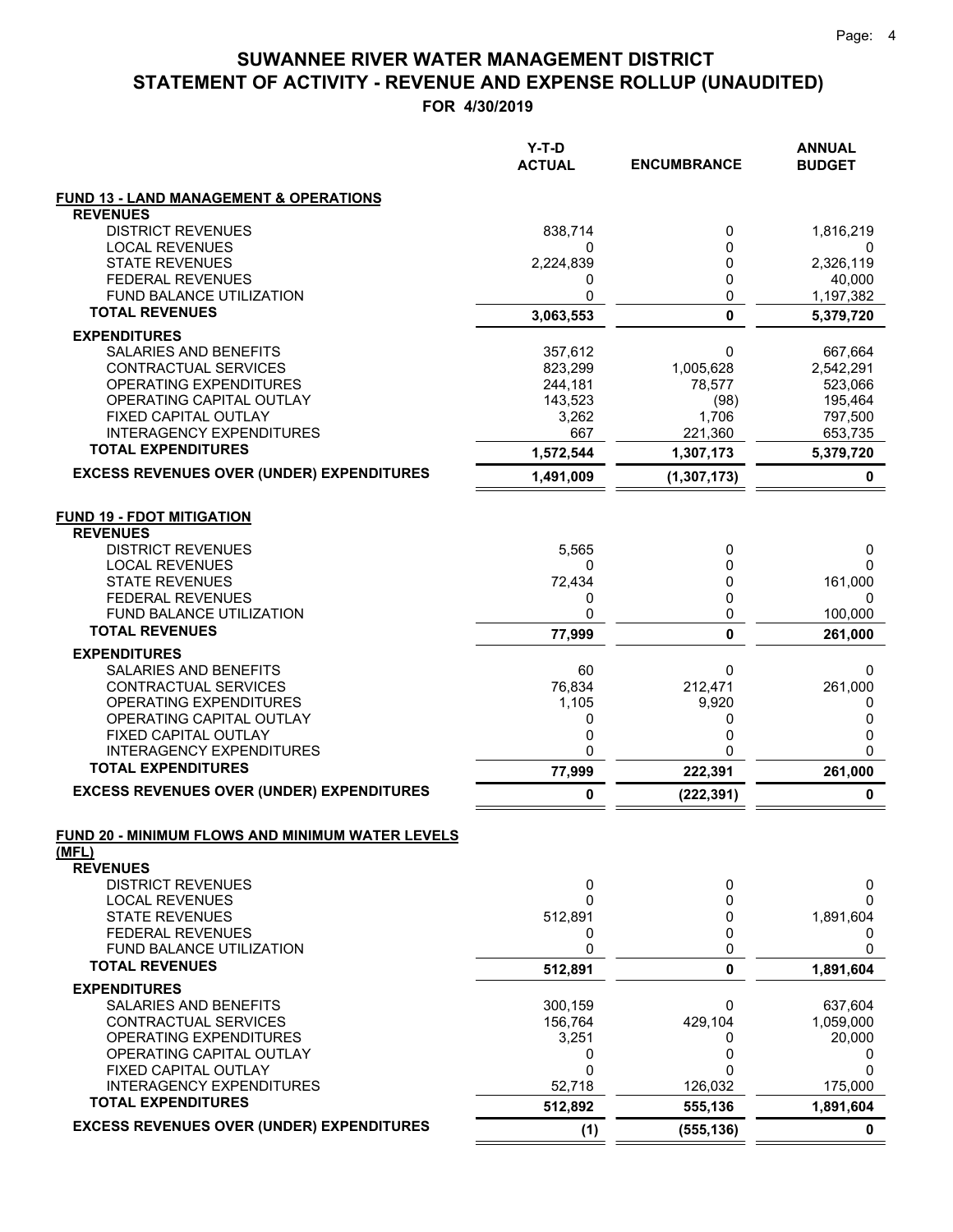|                                                         | $Y-T-D$<br><b>ACTUAL</b> | <b>ENCUMBRANCE</b> | <b>ANNUAL</b><br><b>BUDGET</b> |
|---------------------------------------------------------|--------------------------|--------------------|--------------------------------|
| <b>FUND 13 - LAND MANAGEMENT &amp; OPERATIONS</b>       |                          |                    |                                |
| <b>REVENUES</b>                                         |                          |                    |                                |
| <b>DISTRICT REVENUES</b>                                | 838,714                  | 0                  | 1,816,219                      |
| <b>LOCAL REVENUES</b><br><b>STATE REVENUES</b>          | 0                        | $\mathbf{0}$<br>0  | 0                              |
| <b>FEDERAL REVENUES</b>                                 | 2,224,839<br>0           | 0                  | 2,326,119<br>40,000            |
| FUND BALANCE UTILIZATION                                | 0                        | 0                  | 1,197,382                      |
| <b>TOTAL REVENUES</b>                                   | 3,063,553                | $\mathbf 0$        | 5,379,720                      |
| <b>EXPENDITURES</b>                                     |                          |                    |                                |
| SALARIES AND BENEFITS                                   | 357,612                  | 0                  | 667,664                        |
| CONTRACTUAL SERVICES                                    | 823,299                  | 1,005,628          | 2,542,291                      |
| OPERATING EXPENDITURES                                  | 244,181                  | 78,577             | 523,066                        |
| OPERATING CAPITAL OUTLAY                                | 143,523                  | (98)               | 195,464                        |
| FIXED CAPITAL OUTLAY<br><b>INTERAGENCY EXPENDITURES</b> | 3,262<br>667             | 1,706<br>221,360   | 797,500<br>653,735             |
| <b>TOTAL EXPENDITURES</b>                               | 1,572,544                | 1,307,173          | 5,379,720                      |
| <b>EXCESS REVENUES OVER (UNDER) EXPENDITURES</b>        | 1,491,009                | (1, 307, 173)      | 0                              |
| <b>FUND 19 - FDOT MITIGATION</b>                        |                          |                    |                                |
| <b>REVENUES</b>                                         |                          |                    |                                |
| <b>DISTRICT REVENUES</b>                                | 5,565                    | 0                  | 0                              |
| <b>LOCAL REVENUES</b><br><b>STATE REVENUES</b>          | 0<br>72,434              | 0<br>0             | 0<br>161,000                   |
| <b>FEDERAL REVENUES</b>                                 | 0                        | 0                  | 0                              |
| FUND BALANCE UTILIZATION                                | 0                        | 0                  | 100,000                        |
| <b>TOTAL REVENUES</b>                                   | 77,999                   | $\mathbf{0}$       | 261,000                        |
| <b>EXPENDITURES</b>                                     |                          |                    |                                |
| SALARIES AND BENEFITS                                   | 60                       | 0                  | 0                              |
| CONTRACTUAL SERVICES                                    | 76,834                   | 212,471            | 261,000                        |
| OPERATING EXPENDITURES<br>OPERATING CAPITAL OUTLAY      | 1,105<br>0               | 9,920<br>0         | 0<br>0                         |
| FIXED CAPITAL OUTLAY                                    | 0                        | 0                  | 0                              |
| <b>INTERAGENCY EXPENDITURES</b>                         | 0                        | ი                  | 0                              |
| <b>TOTAL EXPENDITURES</b>                               | 77,999                   | 222,391            | 261,000                        |
| <b>EXCESS REVENUES OVER (UNDER) EXPENDITURES</b>        | 0                        | (222, 391)         | 0                              |
| FUND 20 - MINIMUM FLOWS AND MINIMUM WATER LEVELS        |                          |                    |                                |
| (MFL)                                                   |                          |                    |                                |
| <b>REVENUES</b><br><b>DISTRICT REVENUES</b>             | 0                        | 0                  | 0                              |
| <b>LOCAL REVENUES</b>                                   | $\Omega$                 | 0                  | 0                              |
| <b>STATE REVENUES</b>                                   | 512,891                  | 0                  | 1,891,604                      |
| <b>FEDERAL REVENUES</b>                                 | 0                        | 0                  | 0                              |
| FUND BALANCE UTILIZATION                                | 0                        | 0                  | 0                              |
| <b>TOTAL REVENUES</b>                                   | 512,891                  | $\mathbf{0}$       | 1,891,604                      |
| <b>EXPENDITURES</b>                                     |                          |                    |                                |
| SALARIES AND BENEFITS                                   | 300,159                  | 0                  | 637,604                        |
| CONTRACTUAL SERVICES<br>OPERATING EXPENDITURES          | 156,764<br>3,251         | 429,104<br>0       | 1,059,000<br>20,000            |
| OPERATING CAPITAL OUTLAY                                | 0                        | 0                  | 0                              |
| FIXED CAPITAL OUTLAY                                    | $\mathbf 0$              | 0                  | 0                              |
| <b>INTERAGENCY EXPENDITURES</b>                         | 52,718                   | 126,032            | 175,000                        |
| <b>TOTAL EXPENDITURES</b>                               | 512,892                  | 555,136            | 1,891,604                      |
| <b>EXCESS REVENUES OVER (UNDER) EXPENDITURES</b>        | (1)                      | (555, 136)         | 0                              |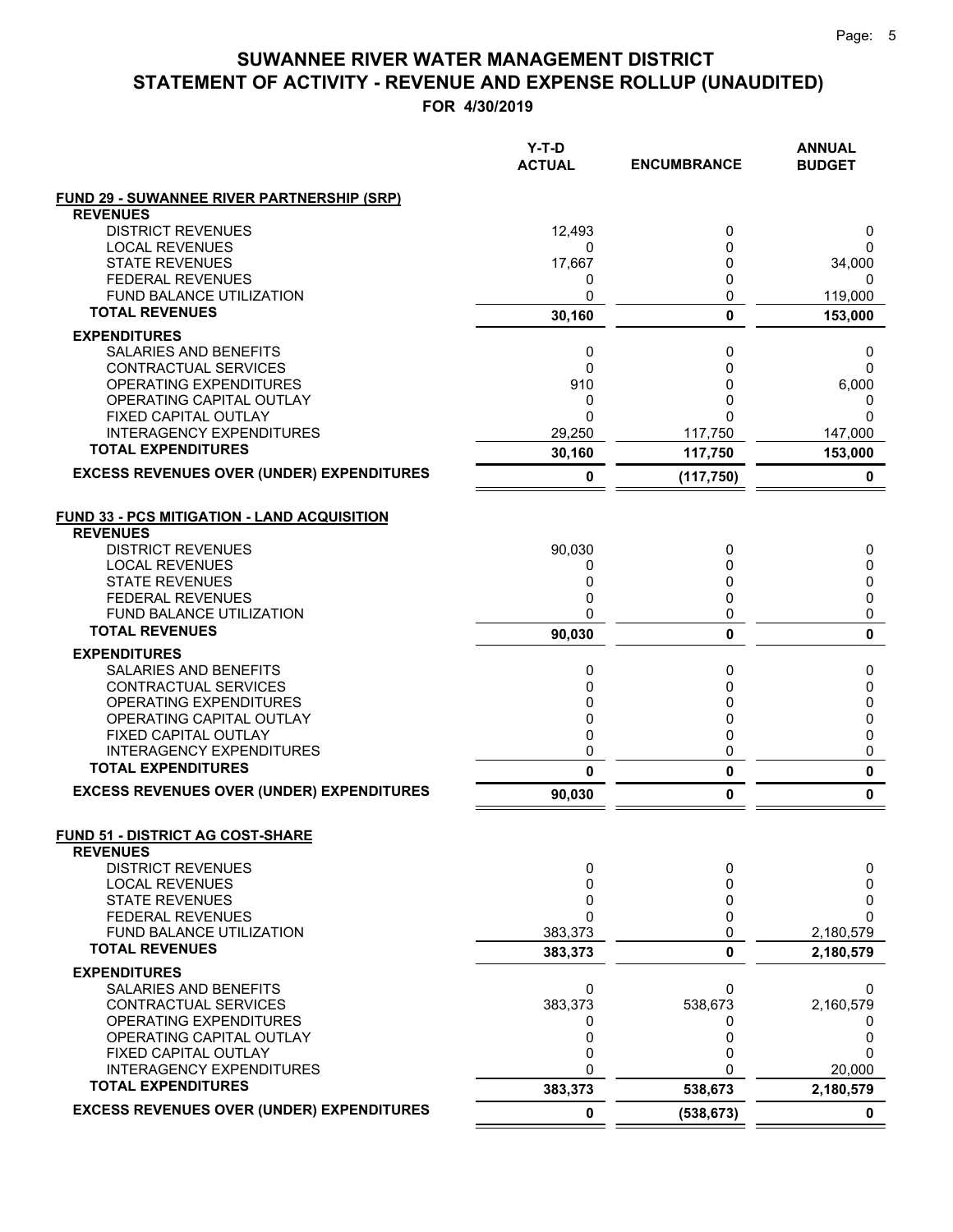|                                                         | Y-T-D<br><b>ACTUAL</b> | <b>ENCUMBRANCE</b> | <b>ANNUAL</b><br><b>BUDGET</b> |
|---------------------------------------------------------|------------------------|--------------------|--------------------------------|
| <b>FUND 29 - SUWANNEE RIVER PARTNERSHIP (SRP)</b>       |                        |                    |                                |
| <b>REVENUES</b>                                         |                        |                    |                                |
| <b>DISTRICT REVENUES</b>                                | 12,493                 | 0                  | 0                              |
| <b>LOCAL REVENUES</b><br><b>STATE REVENUES</b>          | 0<br>17,667            | 0<br>0             | 0<br>34,000                    |
| <b>FEDERAL REVENUES</b>                                 | 0                      | 0                  | 0                              |
| <b>FUND BALANCE UTILIZATION</b>                         | 0                      | 0                  | 119,000                        |
| <b>TOTAL REVENUES</b>                                   | 30,160                 | 0                  | 153,000                        |
| <b>EXPENDITURES</b>                                     |                        |                    |                                |
| <b>SALARIES AND BENEFITS</b>                            | 0                      | 0                  | 0                              |
| <b>CONTRACTUAL SERVICES</b>                             | 0                      | 0                  | $\Omega$                       |
| OPERATING EXPENDITURES                                  | 910                    | 0                  | 6,000                          |
| OPERATING CAPITAL OUTLAY<br>FIXED CAPITAL OUTLAY        | 0<br>$\mathbf 0$       | 0<br>0             | 0<br>$\Omega$                  |
| <b>INTERAGENCY EXPENDITURES</b>                         | 29,250                 | 117,750            | 147,000                        |
| <b>TOTAL EXPENDITURES</b>                               | 30,160                 | 117,750            | 153,000                        |
| <b>EXCESS REVENUES OVER (UNDER) EXPENDITURES</b>        | 0                      | (117, 750)         | 0                              |
|                                                         |                        |                    |                                |
| <b>FUND 33 - PCS MITIGATION - LAND ACQUISITION</b>      |                        |                    |                                |
| <b>REVENUES</b>                                         |                        |                    |                                |
| <b>DISTRICT REVENUES</b>                                | 90,030                 | 0                  | 0                              |
| <b>LOCAL REVENUES</b><br><b>STATE REVENUES</b>          | 0<br>0                 | 0<br>0             | 0                              |
| <b>FEDERAL REVENUES</b>                                 | 0                      | 0                  | 0<br>0                         |
| <b>FUND BALANCE UTILIZATION</b>                         | 0                      | 0                  | 0                              |
| <b>TOTAL REVENUES</b>                                   | 90,030                 | 0                  | $\mathbf{0}$                   |
| <b>EXPENDITURES</b>                                     |                        |                    |                                |
| <b>SALARIES AND BENEFITS</b>                            | 0                      | 0                  | 0                              |
| CONTRACTUAL SERVICES                                    | 0                      | 0                  | 0                              |
| OPERATING EXPENDITURES                                  | 0                      | 0                  | 0                              |
| OPERATING CAPITAL OUTLAY                                | 0<br>$\mathbf 0$       | 0<br>0             | 0                              |
| FIXED CAPITAL OUTLAY<br><b>INTERAGENCY EXPENDITURES</b> | 0                      | 0                  | 0<br>0                         |
| <b>TOTAL EXPENDITURES</b>                               | 0                      | 0                  | 0                              |
| <b>EXCESS REVENUES OVER (UNDER) EXPENDITURES</b>        | 90,030                 | 0                  | 0                              |
|                                                         |                        |                    |                                |
| FUND 51 - DISTRICT AG COST-SHARE                        |                        |                    |                                |
| <b>REVENUES</b><br><b>DISTRICT REVENUES</b>             | 0                      | 0                  |                                |
| <b>LOCAL REVENUES</b>                                   | 0                      | 0                  | 0<br>0                         |
| <b>STATE REVENUES</b>                                   | 0                      | 0                  | 0                              |
| <b>FEDERAL REVENUES</b>                                 | 0                      | 0                  | $\Omega$                       |
| FUND BALANCE UTILIZATION                                | 383,373                | 0                  | 2,180,579                      |
| <b>TOTAL REVENUES</b>                                   | 383,373                | 0                  | 2,180,579                      |
| <b>EXPENDITURES</b>                                     |                        |                    |                                |
| <b>SALARIES AND BENEFITS</b>                            | 0                      | 0                  | 0                              |
| CONTRACTUAL SERVICES                                    | 383,373                | 538,673            | 2,160,579                      |
| OPERATING EXPENDITURES<br>OPERATING CAPITAL OUTLAY      | 0<br>0                 | 0<br>0             | 0<br>0                         |
| FIXED CAPITAL OUTLAY                                    | 0                      | 0                  | 0                              |
| <b>INTERAGENCY EXPENDITURES</b>                         | 0                      |                    | 20,000                         |
| <b>TOTAL EXPENDITURES</b>                               | 383,373                | 538,673            | 2,180,579                      |
| <b>EXCESS REVENUES OVER (UNDER) EXPENDITURES</b>        | $\mathbf 0$            | (538, 673)         | 0                              |